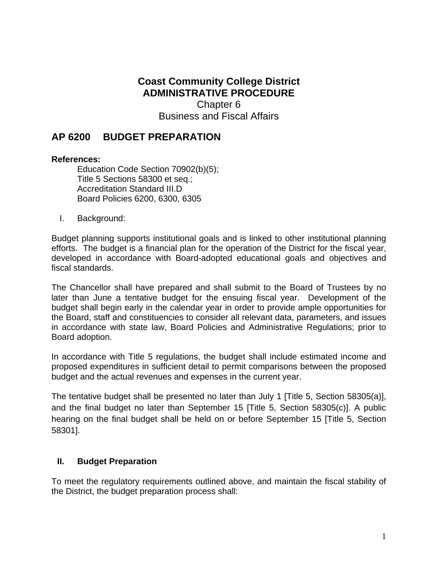**Coast Community College District ADMINISTRATIVE PROCEDURE** Chapter 6 Business and Fiscal Affairs

# **AP 6200 BUDGET PREPARATION**

## **References:**

Education Code Section 70902(b)(5); Title 5 Sections 58300 et seq.; Accreditation Standard III.D Board Policies 6200, 6300, 6305

I. Background:

Budget planning supports institutional goals and is linked to other institutional planning efforts. The budget is a financial plan for the operation of the District for the fiscal year, developed in accordance with Board-adopted educational goals and objectives and fiscal standards.

The Chancellor shall have prepared and shall submit to the Board of Trustees by no later than June a tentative budget for the ensuing fiscal year. Development of the budget shall begin early in the calendar year in order to provide ample opportunities for the Board, staff and constituencies to consider all relevant data, parameters, and issues in accordance with state law, Board Policies and Administrative Regulations; prior to Board adoption.

In accordance with Title 5 regulations, the budget shall include estimated income and proposed expenditures in sufficient detail to permit comparisons between the proposed budget and the actual revenues and expenses in the current year.

The tentative budget shall be presented no later than July 1 [Title 5, Section 58305(a)], and the final budget no later than September 15 [Title 5, Section 58305(c)]. A public hearing on the final budget shall be held on or before September 15 [Title 5, Section 58301].

## **II. Budget Preparation**

To meet the regulatory requirements outlined above, and maintain the fiscal stability of the District, the budget preparation process shall: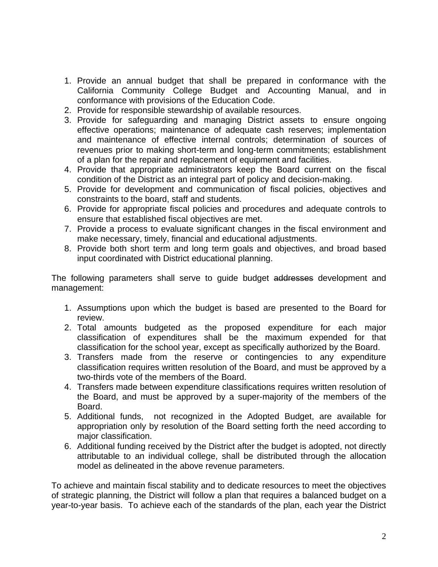- 1. Provide an annual budget that shall be prepared in conformance with the California Community College Budget and Accounting Manual, and in conformance with provisions of the Education Code.
- 2. Provide for responsible stewardship of available resources.
- 3. Provide for safeguarding and managing District assets to ensure ongoing effective operations; maintenance of adequate cash reserves; implementation and maintenance of effective internal controls; determination of sources of revenues prior to making short-term and long-term commitments; establishment of a plan for the repair and replacement of equipment and facilities.
- 4. Provide that appropriate administrators keep the Board current on the fiscal condition of the District as an integral part of policy and decision-making.
- 5. Provide for development and communication of fiscal policies, objectives and constraints to the board, staff and students.
- 6. Provide for appropriate fiscal policies and procedures and adequate controls to ensure that established fiscal objectives are met.
- 7. Provide a process to evaluate significant changes in the fiscal environment and make necessary, timely, financial and educational adjustments.
- 8. Provide both short term and long term goals and objectives, and broad based input coordinated with District educational planning.

The following parameters shall serve to guide budget addresses development and management:

- 1. Assumptions upon which the budget is based are presented to the Board for review.
- 2. Total amounts budgeted as the proposed expenditure for each major classification of expenditures shall be the maximum expended for that classification for the school year, except as specifically authorized by the Board.
- 3. Transfers made from the reserve or contingencies to any expenditure classification requires written resolution of the Board, and must be approved by a two-thirds vote of the members of the Board.
- 4. Transfers made between expenditure classifications requires written resolution of the Board, and must be approved by a super-majority of the members of the Board.
- 5. Additional funds, not recognized in the Adopted Budget, are available for appropriation only by resolution of the Board setting forth the need according to major classification.
- 6. Additional funding received by the District after the budget is adopted, not directly attributable to an individual college, shall be distributed through the allocation model as delineated in the above revenue parameters.

To achieve and maintain fiscal stability and to dedicate resources to meet the objectives of strategic planning, the District will follow a plan that requires a balanced budget on a year-to-year basis. To achieve each of the standards of the plan, each year the District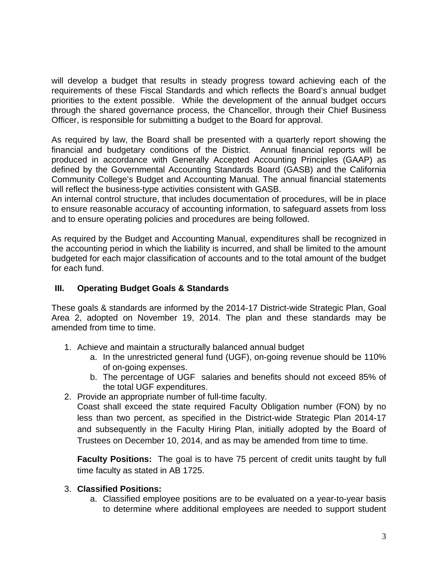will develop a budget that results in steady progress toward achieving each of the requirements of these Fiscal Standards and which reflects the Board's annual budget priorities to the extent possible. While the development of the annual budget occurs through the shared governance process, the Chancellor, through their Chief Business Officer, is responsible for submitting a budget to the Board for approval.

As required by law, the Board shall be presented with a quarterly report showing the financial and budgetary conditions of the District. Annual financial reports will be produced in accordance with Generally Accepted Accounting Principles (GAAP) as defined by the Governmental Accounting Standards Board (GASB) and the California Community College's Budget and Accounting Manual. The annual financial statements will reflect the business-type activities consistent with GASB.

An internal control structure, that includes documentation of procedures, will be in place to ensure reasonable accuracy of accounting information, to safeguard assets from loss and to ensure operating policies and procedures are being followed.

As required by the Budget and Accounting Manual, expenditures shall be recognized in the accounting period in which the liability is incurred, and shall be limited to the amount budgeted for each major classification of accounts and to the total amount of the budget for each fund.

## **III. Operating Budget Goals & Standards**

These goals & standards are informed by the 2014-17 District-wide Strategic Plan, Goal Area 2, adopted on November 19, 2014. The plan and these standards may be amended from time to time.

- 1. Achieve and maintain a structurally balanced annual budget
	- a. In the unrestricted general fund (UGF), on-going revenue should be 110% of on-going expenses.
	- b. The percentage of UGF salaries and benefits should not exceed 85% of the total UGF expenditures.
- 2. Provide an appropriate number of full-time faculty.

Coast shall exceed the state required Faculty Obligation number (FON) by no less than two percent, as specified in the District-wide Strategic Plan 2014-17 and subsequently in the Faculty Hiring Plan, initially adopted by the Board of Trustees on December 10, 2014, and as may be amended from time to time.

 time faculty as stated in AB 1725. 3. **Classified Positions: Faculty Positions:** The goal is to have 75 percent of credit units taught by full

# 3. Classified Positions:

a. Classified employee positions are to be evaluated on a year-to-year basis to determine where additional employees are needed to support student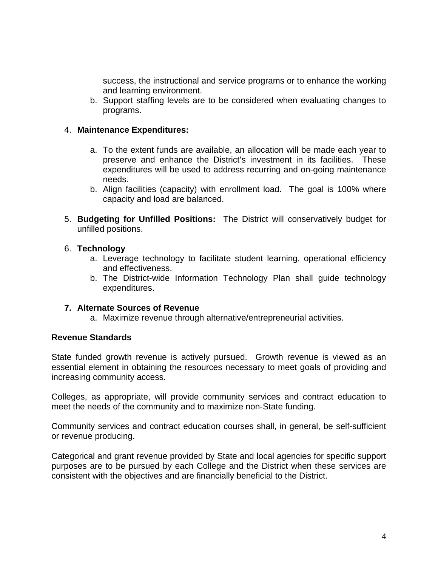success, the instructional and service programs or to enhance the working and learning environment.

b. Support staffing levels are to be considered when evaluating changes to programs.

### 4. **Maintenance Expenditures:**

- a. To the extent funds are available, an allocation will be made each year to preserve and enhance the District's investment in its facilities. These expenditures will be used to address recurring and on-going maintenance needs.
- b. Align facilities (capacity) with enrollment load. The goal is 100% where capacity and load are balanced.
- 5. **Budgeting for Unfilled Positions:** The District will conservatively budget for unfilled positions.

#### 6. **Technology**

- a. Leverage technology to facilitate student learning, operational efficiency and effectiveness.
- b. The District-wide Information Technology Plan shall guide technology expenditures.

#### **7. Alternate Sources of Revenue**

a. Maximize revenue through alternative/entrepreneurial activities.

### **Revenue Standards**

State funded growth revenue is actively pursued. Growth revenue is viewed as an essential element in obtaining the resources necessary to meet goals of providing and increasing community access.

Colleges, as appropriate, will provide community services and contract education to meet the needs of the community and to maximize non-State funding.

Community services and contract education courses shall, in general, be self-sufficient or revenue producing.

Categorical and grant revenue provided by State and local agencies for specific support purposes are to be pursued by each College and the District when these services are consistent with the objectives and are financially beneficial to the District.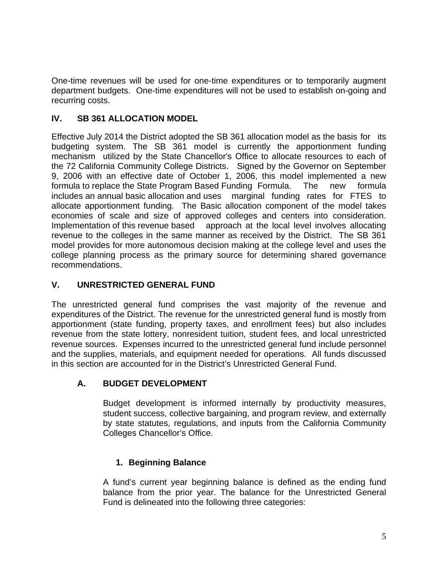One-time revenues will be used for one-time expenditures or to temporarily augment department budgets. One-time expenditures will not be used to establish on-going and recurring costs.

# **IV. SB 361 ALLOCATION MODEL**

 mechanism utilized by the State Chancellor's Office to allocate resources to each of includes an annual basic allocation and uses marginal funding rates for FTES to economies of scale and size of approved colleges and centers into consideration. Effective July 2014 the District adopted the SB 361 allocation model as the basis for its budgeting system. The SB 361 model is currently the apportionment funding the 72 California Community College Districts. Signed by the Governor on September 9, 2006 with an effective date of October 1, 2006, this model implemented a new formula to replace the State Program Based Funding Formula. The new formula allocate apportionment funding. The Basic allocation component of the model takes Implementation of this revenue based approach at the local level involves allocating revenue to the colleges in the same manner as received by the District. The SB 361 model provides for more autonomous decision making at the college level and uses the college planning process as the primary source for determining shared governance recommendations.

# **V. UNRESTRICTED GENERAL FUND**

The unrestricted general fund comprises the vast majority of the revenue and expenditures of the District. The revenue for the unrestricted general fund is mostly from apportionment (state funding, property taxes, and enrollment fees) but also includes revenue from the state lottery, nonresident tuition, student fees, and local unrestricted revenue sources. Expenses incurred to the unrestricted general fund include personnel and the supplies, materials, and equipment needed for operations. All funds discussed in this section are accounted for in the District's Unrestricted General Fund.

## **A. BUDGET DEVELOPMENT**

Budget development is informed internally by productivity measures, student success, collective bargaining, and program review, and externally by state statutes, regulations, and inputs from the California Community Colleges Chancellor's Office.

# **1. Beginning Balance**

A fund's current year beginning balance is defined as the ending fund balance from the prior year. The balance for the Unrestricted General Fund is delineated into the following three categories: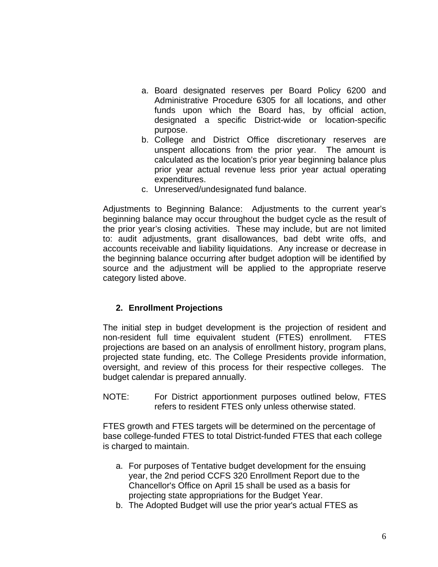- a. Board designated reserves per Board Policy 6200 and Administrative Procedure 6305 for all locations, and other funds upon which the Board has, by official action, designated a specific District-wide or location-specific purpose.
- b. College and District Office discretionary reserves are unspent allocations from the prior year. The amount is calculated as the location's prior year beginning balance plus prior year actual revenue less prior year actual operating expenditures.
- c. Unreserved/undesignated fund balance.

Adjustments to Beginning Balance: Adjustments to the current year's beginning balance may occur throughout the budget cycle as the result of the prior year's closing activities. These may include, but are not limited to: audit adjustments, grant disallowances, bad debt write offs, and accounts receivable and liability liquidations. Any increase or decrease in the beginning balance occurring after budget adoption will be identified by source and the adjustment will be applied to the appropriate reserve category listed above.

## **2. Enrollment Projections**

The initial step in budget development is the projection of resident and non-resident full time equivalent student (FTES) enrollment. FTES projections are based on an analysis of enrollment history, program plans, projected state funding, etc. The College Presidents provide information, oversight, and review of this process for their respective colleges. The budget calendar is prepared annually.

NOTE: For District apportionment purposes outlined below, FTES refers to resident FTES only unless otherwise stated.

FTES growth and FTES targets will be determined on the percentage of base college-funded FTES to total District-funded FTES that each college is charged to maintain.

- a. For purposes of Tentative budget development for the ensuing year, the 2nd period CCFS 320 Enrollment Report due to the Chancellor's Office on April 15 shall be used as a basis for projecting state appropriations for the Budget Year.
- b. The Adopted Budget will use the prior year's actual FTES as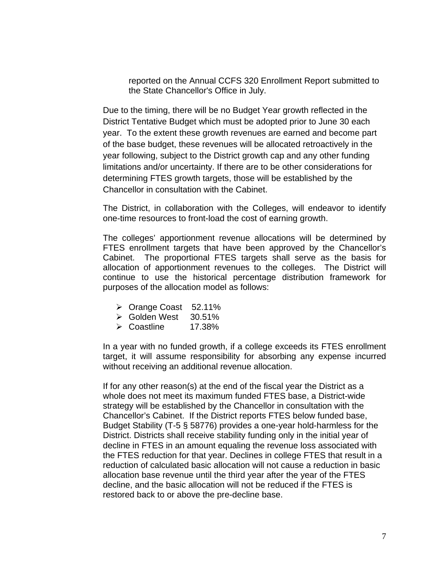reported on the Annual CCFS 320 Enrollment Report submitted to the State Chancellor's Office in July.

Due to the timing, there will be no Budget Year growth reflected in the District Tentative Budget which must be adopted prior to June 30 each year. To the extent these growth revenues are earned and become part of the base budget, these revenues will be allocated retroactively in the year following, subject to the District growth cap and any other funding limitations and/or uncertainty. If there are to be other considerations for determining FTES growth targets, those will be established by the Chancellor in consultation with the Cabinet.

The District, in collaboration with the Colleges, will endeavor to identify one-time resources to front-load the cost of earning growth.

The colleges' apportionment revenue allocations will be determined by FTES enrollment targets that have been approved by the Chancellor's Cabinet. The proportional FTES targets shall serve as the basis for allocation of apportionment revenues to the colleges. The District will continue to use the historical percentage distribution framework for purposes of the allocation model as follows:

- Orange Coast 52.11%
- Golden West 30.51%
- Coastline 17.38%

In a year with no funded growth, if a college exceeds its FTES enrollment target, it will assume responsibility for absorbing any expense incurred without receiving an additional revenue allocation.

If for any other reason(s) at the end of the fiscal year the District as a whole does not meet its maximum funded FTES base, a District-wide strategy will be established by the Chancellor in consultation with the Chancellor's Cabinet. If the District reports FTES below funded base, Budget Stability (T-5 § 58776) provides a one-year hold-harmless for the District. Districts shall receive stability funding only in the initial year of decline in FTES in an amount equaling the revenue loss associated with the FTES reduction for that year. Declines in college FTES that result in a reduction of calculated basic allocation will not cause a reduction in basic allocation base revenue until the third year after the year of the FTES decline, and the basic allocation will not be reduced if the FTES is restored back to or above the pre-decline base.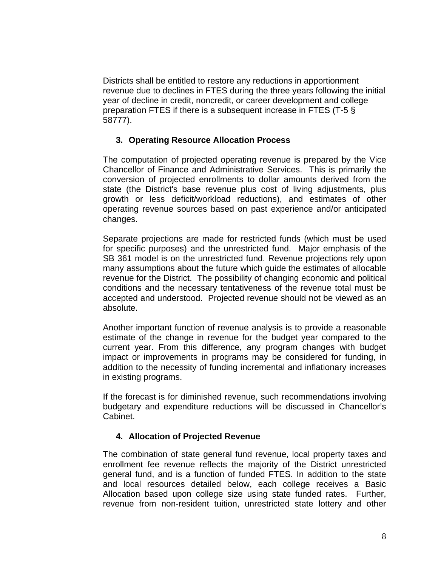Districts shall be entitled to restore any reductions in apportionment revenue due to declines in FTES during the three years following the initial year of decline in credit, noncredit, or career development and college preparation FTES if there is a subsequent increase in FTES (T-5 § 58777).

## **3. Operating Resource Allocation Process**

The computation of projected operating revenue is prepared by the Vice Chancellor of Finance and Administrative Services. This is primarily the conversion of projected enrollments to dollar amounts derived from the state (the District's base revenue plus cost of living adjustments, plus growth or less deficit/workload reductions), and estimates of other operating revenue sources based on past experience and/or anticipated changes.

Separate projections are made for restricted funds (which must be used for specific purposes) and the unrestricted fund. Major emphasis of the SB 361 model is on the unrestricted fund. Revenue projections rely upon many assumptions about the future which guide the estimates of allocable revenue for the District. The possibility of changing economic and political conditions and the necessary tentativeness of the revenue total must be accepted and understood. Projected revenue should not be viewed as an absolute.

Another important function of revenue analysis is to provide a reasonable estimate of the change in revenue for the budget year compared to the current year. From this difference, any program changes with budget impact or improvements in programs may be considered for funding, in addition to the necessity of funding incremental and inflationary increases in existing programs.

If the forecast is for diminished revenue, such recommendations involving budgetary and expenditure reductions will be discussed in Chancellor's Cabinet.

### **4. Allocation of Projected Revenue**

The combination of state general fund revenue, local property taxes and enrollment fee revenue reflects the majority of the District unrestricted general fund, and is a function of funded FTES. In addition to the state and local resources detailed below, each college receives a Basic Allocation based upon college size using state funded rates. Further, revenue from non-resident tuition, unrestricted state lottery and other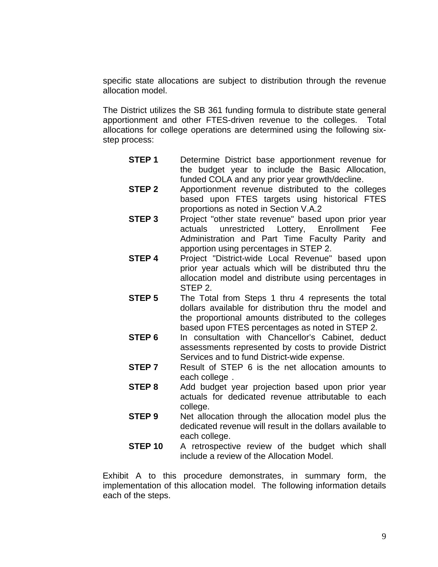specific state allocations are subject to distribution through the revenue allocation model.

The District utilizes the SB 361 funding formula to distribute state general apportionment and other FTES-driven revenue to the colleges. Total allocations for college operations are determined using the following sixstep process:

- **STEP 1** Determine District base apportionment revenue for the budget year to include the Basic Allocation, funded COLA and any prior year growth/decline.
- **STEP 2** Apportionment revenue distributed to the colleges based upon FTES targets using historical FTES proportions as noted in Section V.A.2
- **STEP 3** Project "other state revenue" based upon prior year actuals unrestricted Lottery, Enrollment Fee Administration and Part Time Faculty Parity and apportion using percentages in STEP 2.
- **STEP 4** Project "District-wide Local Revenue" based upon prior year actuals which will be distributed thru the allocation model and distribute using percentages in STEP 2.
- **STEP 5** The Total from Steps 1 thru 4 represents the total dollars available for distribution thru the model and the proportional amounts distributed to the colleges based upon FTES percentages as noted in STEP 2.
- **STEP 6** In consultation with Chancellor's Cabinet, deduct assessments represented by costs to provide District Services and to fund District-wide expense.
- **STEP 7** Result of STEP 6 is the net allocation amounts to each college .
- **STEP 8** Add budget year projection based upon prior year actuals for dedicated revenue attributable to each college.
- **STEP 9** Net allocation through the allocation model plus the dedicated revenue will result in the dollars available to each college.
- **STEP 10** A retrospective review of the budget which shall include a review of the Allocation Model.

Exhibit A to this procedure demonstrates, in summary form, the implementation of this allocation model. The following information details each of the steps.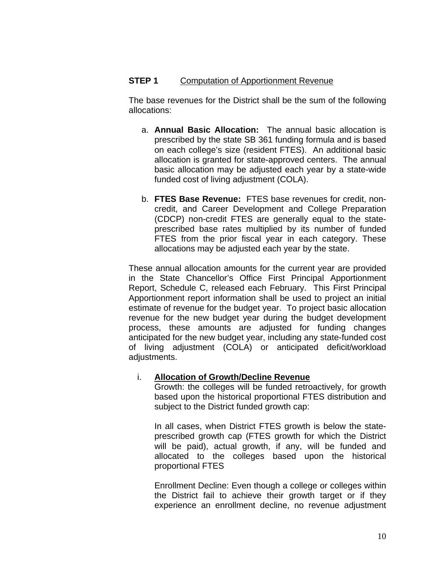## **STEP 1** Computation of Apportionment Revenue

The base revenues for the District shall be the sum of the following allocations:

- a. **Annual Basic Allocation:** The annual basic allocation is prescribed by the state SB 361 funding formula and is based on each college's size (resident FTES). An additional basic allocation is granted for state-approved centers. The annual basic allocation may be adjusted each year by a state-wide funded cost of living adjustment (COLA).
- b. **FTES Base Revenue:** FTES base revenues for credit, noncredit, and Career Development and College Preparation (CDCP) non-credit FTES are generally equal to the stateprescribed base rates multiplied by its number of funded FTES from the prior fiscal year in each category. These allocations may be adjusted each year by the state.

These annual allocation amounts for the current year are provided in the State Chancellor's Office First Principal Apportionment Report, Schedule C, released each February. This First Principal Apportionment report information shall be used to project an initial estimate of revenue for the budget year. To project basic allocation revenue for the new budget year during the budget development process, these amounts are adjusted for funding changes anticipated for the new budget year, including any state-funded cost of living adjustment (COLA) or anticipated deficit/workload adjustments.

#### i. **Allocation of Growth/Decline Revenue**

Growth: the colleges will be funded retroactively, for growth based upon the historical proportional FTES distribution and subject to the District funded growth cap:

In all cases, when District FTES growth is below the stateprescribed growth cap (FTES growth for which the District will be paid), actual growth, if any, will be funded and allocated to the colleges based upon the historical proportional FTES

Enrollment Decline: Even though a college or colleges within the District fail to achieve their growth target or if they experience an enrollment decline, no revenue adjustment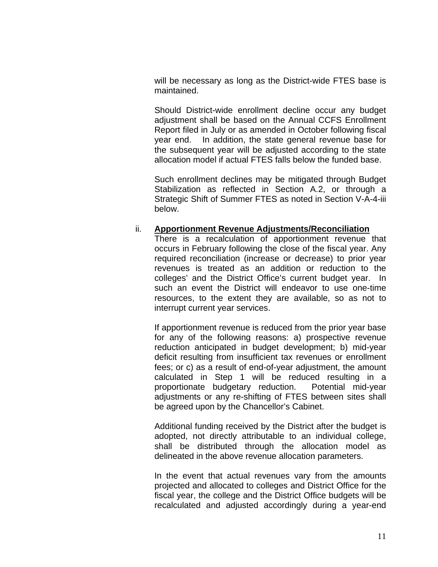will be necessary as long as the District-wide FTES base is maintained.

Should District-wide enrollment decline occur any budget adjustment shall be based on the Annual CCFS Enrollment Report filed in July or as amended in October following fiscal year end. In addition, the state general revenue base for the subsequent year will be adjusted according to the state allocation model if actual FTES falls below the funded base.

Such enrollment declines may be mitigated through Budget Stabilization as reflected in Section A.2, or through a Strategic Shift of Summer FTES as noted in Section V-A-4-iii below.

#### ii. **Apportionment Revenue Adjustments/Reconciliation**

There is a recalculation of apportionment revenue that occurs in February following the close of the fiscal year. Any required reconciliation (increase or decrease) to prior year revenues is treated as an addition or reduction to the colleges' and the District Office's current budget year. In such an event the District will endeavor to use one-time resources, to the extent they are available, so as not to interrupt current year services.

If apportionment revenue is reduced from the prior year base for any of the following reasons: a) prospective revenue reduction anticipated in budget development; b) mid-year deficit resulting from insufficient tax revenues or enrollment fees; or c) as a result of end-of-year adjustment, the amount calculated in Step 1 will be reduced resulting in a proportionate budgetary reduction. Potential mid-year adjustments or any re-shifting of FTES between sites shall be agreed upon by the Chancellor's Cabinet.

Additional funding received by the District after the budget is adopted, not directly attributable to an individual college, shall be distributed through the allocation model as delineated in the above revenue allocation parameters.

In the event that actual revenues vary from the amounts projected and allocated to colleges and District Office for the fiscal year, the college and the District Office budgets will be recalculated and adjusted accordingly during a year-end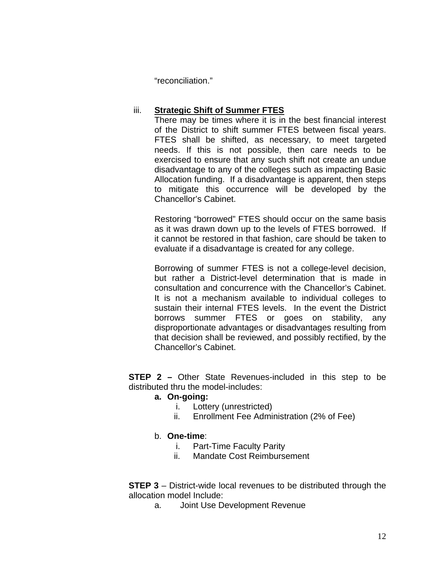"reconciliation."

### iii. **Strategic Shift of Summer FTES**

There may be times where it is in the best financial interest of the District to shift summer FTES between fiscal years. FTES shall be shifted, as necessary, to meet targeted needs. If this is not possible, then care needs to be exercised to ensure that any such shift not create an undue disadvantage to any of the colleges such as impacting Basic Allocation funding. If a disadvantage is apparent, then steps to mitigate this occurrence will be developed by the Chancellor's Cabinet.

Restoring "borrowed" FTES should occur on the same basis as it was drawn down up to the levels of FTES borrowed. If it cannot be restored in that fashion, care should be taken to evaluate if a disadvantage is created for any college.

consultation and concurrence with the Chancellor's Cabinet. Borrowing of summer FTES is not a college-level decision, but rather a District-level determination that is made in It is not a mechanism available to individual colleges to sustain their internal FTES levels. In the event the District borrows summer FTES or goes on stability, any disproportionate advantages or disadvantages resulting from that decision shall be reviewed, and possibly rectified, by the Chancellor's Cabinet.

**STEP 2 –** Other State Revenues-included in this step to be distributed thru the model-includes:

### **a. On-going:**

- i. Lottery (unrestricted)
- ii. Enrollment Fee Administration (2% of Fee)

### b. **One-time**:

- i. Part-Time Faculty Parity
- ii. Mandate Cost Reimbursement

**STEP 3** – District-wide local revenues to be distributed through the allocation model Include:

a. Joint Use Development Revenue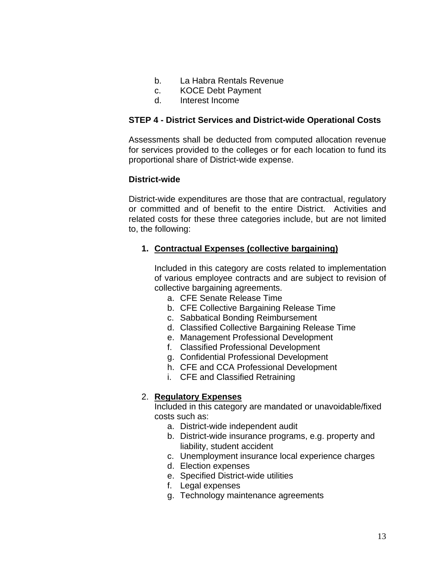- b. La Habra Rentals Revenue
- c. KOCE Debt Payment
- d. Interest Income

#### **STEP 4 - District Services and District-wide Operational Costs**

Assessments shall be deducted from computed allocation revenue for services provided to the colleges or for each location to fund its proportional share of District-wide expense.

#### **District-wide**

District-wide expenditures are those that are contractual, regulatory or committed and of benefit to the entire District. Activities and related costs for these three categories include, but are not limited to, the following:

#### **1. Contractual Expenses (collective bargaining)**

Included in this category are costs related to implementation of various employee contracts and are subject to revision of collective bargaining agreements.

- a. CFE Senate Release Time
- b. CFE Collective Bargaining Release Time
- c. Sabbatical Bonding Reimbursement
- d. Classified Collective Bargaining Release Time
- e. Management Professional Development
- f. Classified Professional Development
- g. Confidential Professional Development
- h. CFE and CCA Professional Development
- i. CFE and Classified Retraining

### 2. **Regulatory Expenses**

Included in this category are mandated or unavoidable/fixed costs such as:

- a. District-wide independent audit
- b. District-wide insurance programs, e.g. property and liability, student accident
- c. Unemployment insurance local experience charges
- d. Election expenses
- e. Specified District-wide utilities
- f. Legal expenses
- g. Technology maintenance agreements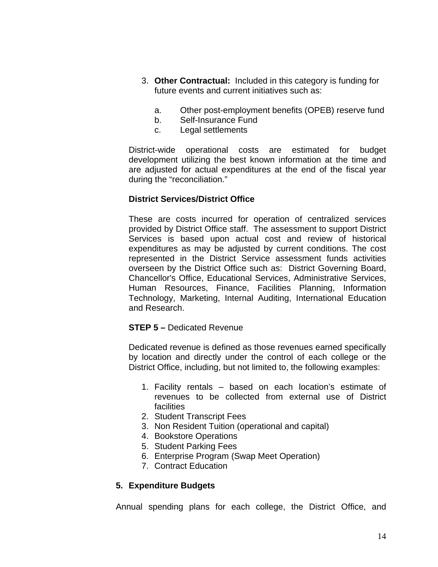- 3. **Other Contractual:** Included in this category is funding for future events and current initiatives such as:
	- a. Other post-employment benefits (OPEB) reserve fund
	- b. Self-Insurance Fund
	- c. Legal settlements

District-wide operational costs are estimated for budget development utilizing the best known information at the time and are adjusted for actual expenditures at the end of the fiscal year during the "reconciliation."

## **District Services/District Office**

These are costs incurred for operation of centralized services provided by District Office staff. The assessment to support District Services is based upon actual cost and review of historical expenditures as may be adjusted by current conditions. The cost represented in the District Service assessment funds activities overseen by the District Office such as: District Governing Board, Chancellor's Office, Educational Services, Administrative Services, Human Resources, Finance, Facilities Planning, Information Technology, Marketing, Internal Auditing, International Education and Research.

### **STEP 5 –** Dedicated Revenue

Dedicated revenue is defined as those revenues earned specifically by location and directly under the control of each college or the District Office, including, but not limited to, the following examples:

- 1. Facility rentals based on each location's estimate of revenues to be collected from external use of District facilities
- 2. Student Transcript Fees
- 3. Non Resident Tuition (operational and capital)
- 4. Bookstore Operations
- 5. Student Parking Fees
- 6. Enterprise Program (Swap Meet Operation)
- 7. Contract Education

## **5. Expenditure Budgets**

Annual spending plans for each college, the District Office, and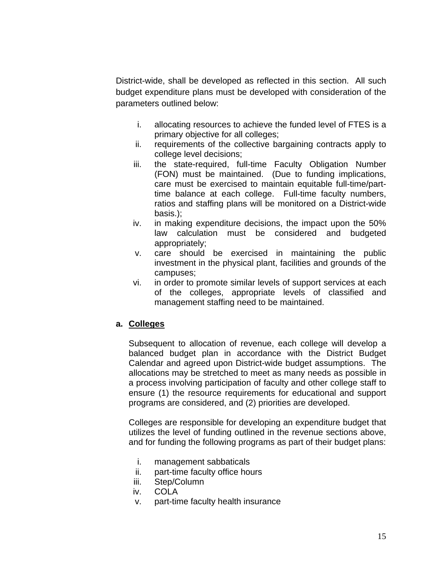District-wide, shall be developed as reflected in this section. All such budget expenditure plans must be developed with consideration of the parameters outlined below:

- i. allocating resources to achieve the funded level of FTES is a primary objective for all colleges;
- ii. requirements of the collective bargaining contracts apply to college level decisions;
- iii. the state-required, full-time Faculty Obligation Number (FON) must be maintained. (Due to funding implications, care must be exercised to maintain equitable full-time/parttime balance at each college. Full-time faculty numbers, ratios and staffing plans will be monitored on a District-wide basis.);
- iv. in making expenditure decisions, the impact upon the 50% law calculation must be considered and budgeted appropriately;
- v. care should be exercised in maintaining the public investment in the physical plant, facilities and grounds of the campuses;
- vi. in order to promote similar levels of support services at each of the colleges, appropriate levels of classified and management staffing need to be maintained.

## **a. Colleges**

Subsequent to allocation of revenue, each college will develop a balanced budget plan in accordance with the District Budget Calendar and agreed upon District-wide budget assumptions. The allocations may be stretched to meet as many needs as possible in a process involving participation of faculty and other college staff to ensure (1) the resource requirements for educational and support programs are considered, and (2) priorities are developed.

Colleges are responsible for developing an expenditure budget that utilizes the level of funding outlined in the revenue sections above, and for funding the following programs as part of their budget plans:

- i. management sabbaticals
- ii. part-time faculty office hours
- iii. Step/Column
- iv. COLA
- v. part-time faculty health insurance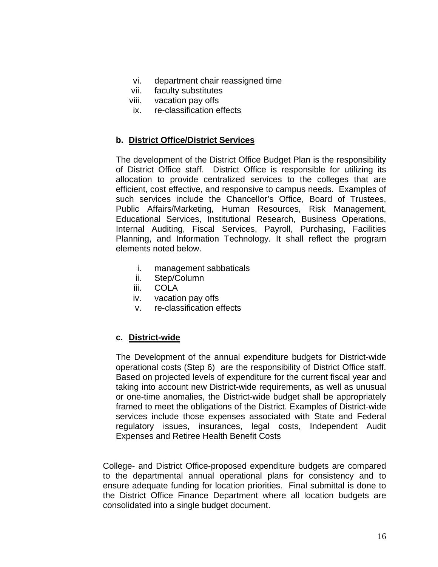- vi. department chair reassigned time
- vii. faculty substitutes
- viii. vacation pay offs
- ix. re-classification effects

#### **b. District Office/District Services**

elements noted below. The development of the District Office Budget Plan is the responsibility of District Office staff. District Office is responsible for utilizing its allocation to provide centralized services to the colleges that are efficient, cost effective, and responsive to campus needs. Examples of such services include the Chancellor's Office, Board of Trustees, Public Affairs/Marketing, Human Resources, Risk Management, Educational Services, Institutional Research, Business Operations, Internal Auditing, Fiscal Services, Payroll, Purchasing, Facilities Planning, and Information Technology. It shall reflect the program

- i. management sabbaticals
- ii. Step/Column
- iii. COLA
- iv. vacation pay offs
- v. re-classification effects

### **c. District-wide**

The Development of the annual expenditure budgets for District-wide operational costs (Step 6) are the responsibility of District Office staff. Based on projected levels of expenditure for the current fiscal year and taking into account new District-wide requirements, as well as unusual or one-time anomalies, the District-wide budget shall be appropriately framed to meet the obligations of the District. Examples of District-wide services include those expenses associated with State and Federal regulatory issues, insurances, legal costs, Independent Audit Expenses and Retiree Health Benefit Costs

College- and District Office-proposed expenditure budgets are compared to the departmental annual operational plans for consistency and to ensure adequate funding for location priorities. Final submittal is done to the District Office Finance Department where all location budgets are consolidated into a single budget document.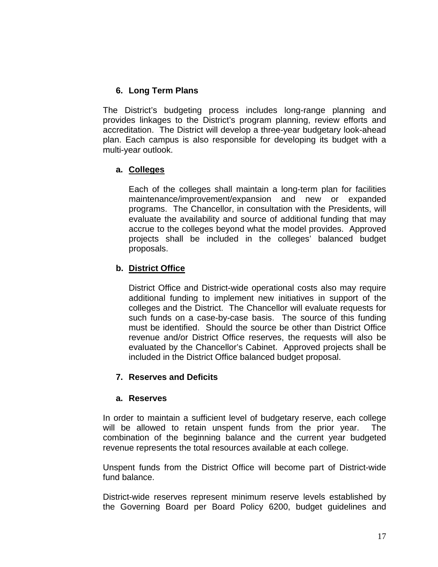## **6. Long Term Plans**

The District's budgeting process includes long-range planning and provides linkages to the District's program planning, review efforts and accreditation. The District will develop a three-year budgetary look-ahead plan. Each campus is also responsible for developing its budget with a multi-year outlook.

## **a. Colleges**

Each of the colleges shall maintain a long-term plan for facilities maintenance/improvement/expansion and new or expanded programs. The Chancellor, in consultation with the Presidents, will evaluate the availability and source of additional funding that may accrue to the colleges beyond what the model provides. Approved projects shall be included in the colleges' balanced budget proposals.

## **b. District Office**

District Office and District-wide operational costs also may require additional funding to implement new initiatives in support of the colleges and the District. The Chancellor will evaluate requests for such funds on a case-by-case basis. The source of this funding must be identified. Should the source be other than District Office revenue and/or District Office reserves, the requests will also be evaluated by the Chancellor's Cabinet. Approved projects shall be included in the District Office balanced budget proposal.

### **7. Reserves and Deficits**

### **a. Reserves**

In order to maintain a sufficient level of budgetary reserve, each college will be allowed to retain unspent funds from the prior year. The combination of the beginning balance and the current year budgeted revenue represents the total resources available at each college.

Unspent funds from the District Office will become part of District-wide fund balance.

District-wide reserves represent minimum reserve levels established by the Governing Board per Board Policy 6200, budget guidelines and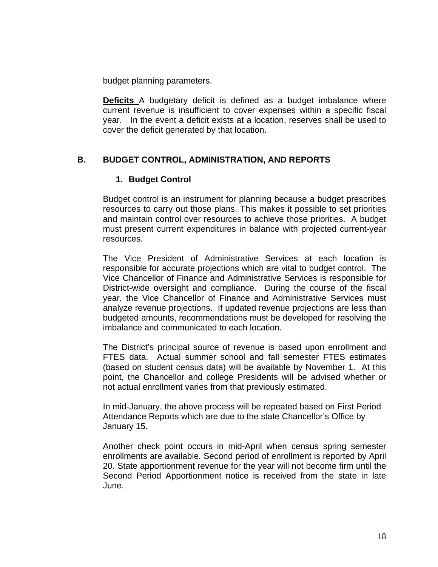budget planning parameters.

**Deficits** A budgetary deficit is defined as a budget imbalance where current revenue is insufficient to cover expenses within a specific fiscal year. In the event a deficit exists at a location, reserves shall be used to cover the deficit generated by that location.

## **B. BUDGET CONTROL, ADMINISTRATION, AND REPORTS**

### **1. Budget Control**

Budget control is an instrument for planning because a budget prescribes resources to carry out those plans. This makes it possible to set priorities and maintain control over resources to achieve those priorities. A budget must present current expenditures in balance with projected current-year resources.

The Vice President of Administrative Services at each location is responsible for accurate projections which are vital to budget control. The Vice Chancellor of Finance and Administrative Services is responsible for District-wide oversight and compliance. During the course of the fiscal year, the Vice Chancellor of Finance and Administrative Services must analyze revenue projections. If updated revenue projections are less than budgeted amounts, recommendations must be developed for resolving the imbalance and communicated to each location.

The District's principal source of revenue is based upon enrollment and FTES data. Actual summer school and fall semester FTES estimates (based on student census data) will be available by November 1. At this point, the Chancellor and college Presidents will be advised whether or not actual enrollment varies from that previously estimated.

In mid-January, the above process will be repeated based on First Period Attendance Reports which are due to the state Chancellor's Office by January 15.

Another check point occurs in mid-April when census spring semester enrollments are available. Second period of enrollment is reported by April 20. State apportionment revenue for the year will not become firm until the Second Period Apportionment notice is received from the state in late June.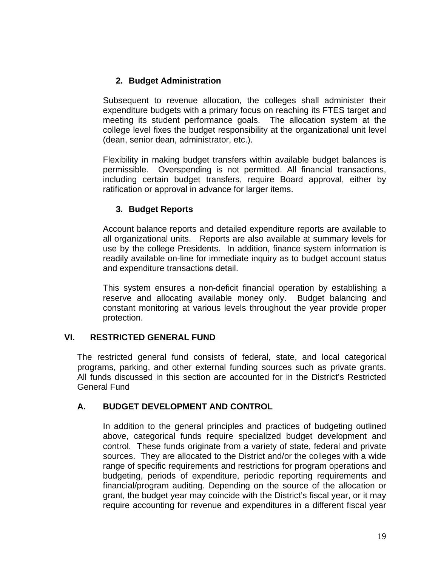## **2. Budget Administration**

Subsequent to revenue allocation, the colleges shall administer their expenditure budgets with a primary focus on reaching its FTES target and meeting its student performance goals. The allocation system at the college level fixes the budget responsibility at the organizational unit level (dean, senior dean, administrator, etc.).

Flexibility in making budget transfers within available budget balances is permissible. Overspending is not permitted. All financial transactions, including certain budget transfers, require Board approval, either by ratification or approval in advance for larger items.

## **3. Budget Reports**

Account balance reports and detailed expenditure reports are available to all organizational units. Reports are also available at summary levels for use by the college Presidents. In addition, finance system information is readily available on-line for immediate inquiry as to budget account status and expenditure transactions detail.

This system ensures a non-deficit financial operation by establishing a reserve and allocating available money only. Budget balancing and constant monitoring at various levels throughout the year provide proper protection.

## **VI. RESTRICTED GENERAL FUND**

The restricted general fund consists of federal, state, and local categorical programs, parking, and other external funding sources such as private grants. All funds discussed in this section are accounted for in the District's Restricted General Fund

## **A. BUDGET DEVELOPMENT AND CONTROL**

In addition to the general principles and practices of budgeting outlined above, categorical funds require specialized budget development and control. These funds originate from a variety of state, federal and private sources. They are allocated to the District and/or the colleges with a wide range of specific requirements and restrictions for program operations and budgeting, periods of expenditure, periodic reporting requirements and financial/program auditing. Depending on the source of the allocation or grant, the budget year may coincide with the District's fiscal year, or it may require accounting for revenue and expenditures in a different fiscal year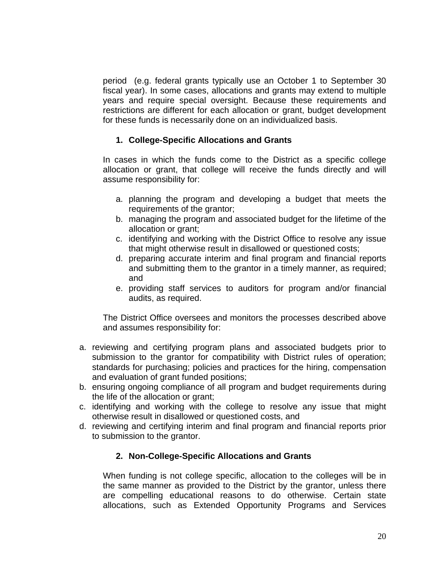period (e.g. federal grants typically use an October 1 to September 30 fiscal year). In some cases, allocations and grants may extend to multiple years and require special oversight. Because these requirements and restrictions are different for each allocation or grant, budget development for these funds is necessarily done on an individualized basis.

## **1. College-Specific Allocations and Grants**

In cases in which the funds come to the District as a specific college allocation or grant, that college will receive the funds directly and will assume responsibility for:

- a. planning the program and developing a budget that meets the requirements of the grantor;
- b. managing the program and associated budget for the lifetime of the allocation or grant;
- c. identifying and working with the District Office to resolve any issue that might otherwise result in disallowed or questioned costs;
- d. preparing accurate interim and final program and financial reports and submitting them to the grantor in a timely manner, as required; and
- e. providing staff services to auditors for program and/or financial audits, as required.

The District Office oversees and monitors the processes described above and assumes responsibility for:

- a. reviewing and certifying program plans and associated budgets prior to submission to the grantor for compatibility with District rules of operation; standards for purchasing; policies and practices for the hiring, compensation and evaluation of grant funded positions;
- b. ensuring ongoing compliance of all program and budget requirements during the life of the allocation or grant;
- c. identifying and working with the college to resolve any issue that might otherwise result in disallowed or questioned costs, and
- d. reviewing and certifying interim and final program and financial reports prior to submission to the grantor.

## **2. Non-College-Specific Allocations and Grants**

When funding is not college specific, allocation to the colleges will be in the same manner as provided to the District by the grantor, unless there are compelling educational reasons to do otherwise. Certain state allocations, such as Extended Opportunity Programs and Services